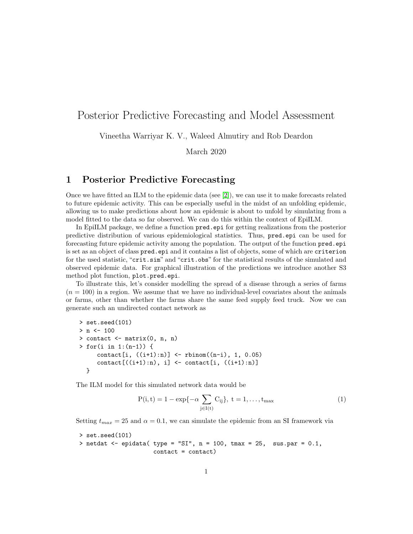## Posterior Predictive Forecasting and Model Assessment

Vineetha Warriyar K. V., Waleed Almutiry and Rob Deardon

March 2020

## 1 Posterior Predictive Forecasting

Once we have fitted an ILM to the epidemic data (see [\[2\]](#page-9-0)), we can use it to make forecasts related to future epidemic activity. This can be especially useful in the midst of an unfolding epidemic, allowing us to make predictions about how an epidemic is about to unfold by simulating from a model fitted to the data so far observed. We can do this within the context of EpiILM.

In EpiILM package, we define a function pred.epi for getting realizations from the posterior predictive distribution of various epidemiological statistics. Thus, pred.epi can be used for forecasting future epidemic activity among the population. The output of the function pred.epi is set as an object of class pred.epi and it contains a list of objects, some of which are criterion for the used statistic, "crit.sim" and "crit.obs" for the statistical results of the simulated and observed epidemic data. For graphical illustration of the predictions we introduce another S3 method plot function, plot.pred.epi.

To illustrate this, let's consider modelling the spread of a disease through a series of farms  $(n = 100)$  in a region. We assume that we have no individual-level covariates about the animals or farms, other than whether the farms share the same feed supply feed truck. Now we can generate such an undirected contact network as

```
> set.seed(101)
> n < - 100> contact <- matrix(0, n, n)
> for(i in 1:(n-1)) {
     \text{contact}[i, ((i+1):n)] \leq \text{rbinom}((n-i), 1, 0.05)contact[((i+1):n), i] \leftarrow contact[i, ((i+1):n)]}
```
The ILM model for this simulated network data would be

$$
P(i, t) = 1 - \exp\{-\alpha \sum_{j \in I(t)} C_{ij}\}, \ t = 1, \dots, t_{\text{max}} \tag{1}
$$

Setting  $t_{max} = 25$  and  $\alpha = 0.1$ , we can simulate the epidemic from an SI framework via

```
> set.seed(101)
> netdat <- epidata( type = "SI", n = 100, tmax = 25, sus.par = 0.1,
                     contact = contact)
```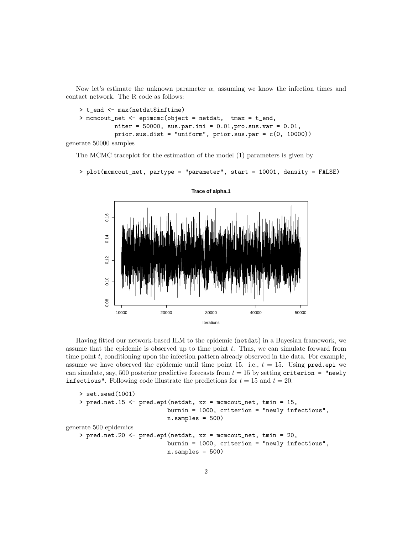Now let's estimate the unknown parameter  $\alpha$ , assuming we know the infection times and contact network. The R code as follows:

```
> t_end <- max(netdat$inftime)
> mcmcout_net <- epimcmc(object = netdat, tmax = t_end,
          niter = 50000, sus.par.ini = 0.01, pro.sus.var = 0.01,
          prior.sus.dist = "uniform", prior.sus.par = c(0, 10000))
```
generate 50000 samples

The MCMC traceplot for the estimation of the model (1) parameters is given by

```
> plot(mcmcout_net, partype = "parameter", start = 10001, density = FALSE)
```


Having fitted our network-based ILM to the epidemic (netdat) in a Bayesian framework, we assume that the epidemic is observed up to time point  $t$ . Thus, we can simulate forward from time point t, conditioning upon the infection pattern already observed in the data. For example, assume we have observed the epidemic until time point 15. i.e.,  $t = 15$ . Using pred.epi we can simulate, say, 500 posterior predictive forecasts from  $t = 15$  by setting criterion = "newly" infectious". Following code illustrate the predictions for  $t = 15$  and  $t = 20$ .

```
> set.seed(1001)
   > pred.net.15 <- pred.epi(netdat, xx = mcmcout_net, tmin = 15,
                             burnin = 1000, criterion = "newly infectious",
                             n.samples = 500)generate 500 epidemics
   > pred.net.20 <- pred.epi(netdat, xx = mcmcout_net, tmin = 20,
                             burnin = 1000, criterion = "newly infectious",
                             n.samples = 500)
```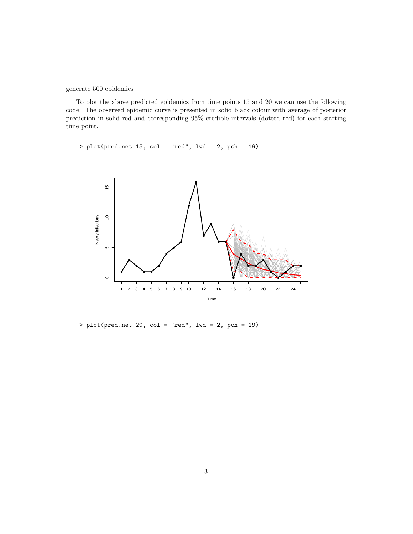generate 500 epidemics

To plot the above predicted epidemics from time points 15 and 20 we can use the following code. The observed epidemic curve is presented in solid black colour with average of posterior prediction in solid red and corresponding 95% credible intervals (dotted red) for each starting time point.

 $> plot(pred.net.15, col = "red", lwd = 2, pch = 19)$ 



> plot(pred.net.20, col = "red", lwd = 2, pch = 19)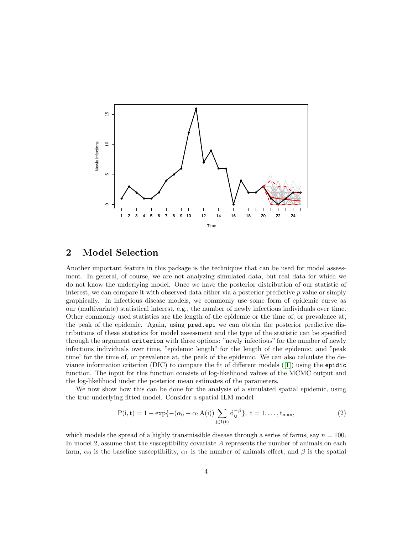

## 2 Model Selection

Another important feature in this package is the techniques that can be used for model assessment. In general, of course, we are not analyzing simulated data, but real data for which we do not know the underlying model. Once we have the posterior distribution of our statistic of interest, we can compare it with observed data either via a posterior predictive  $p$  value or simply graphically. In infectious disease models, we commonly use some form of epidemic curve as our (multivariate) statistical interest, e.g., the number of newly infectious individuals over time. Other commonly used statistics are the length of the epidemic or the time of, or prevalence at, the peak of the epidemic. Again, using pred.epi we can obtain the posterior predictive distributions of these statistics for model assessment and the type of the statistic can be specified through the argument criterion with three options: "newly infectious" for the number of newly infectious individuals over time, "epidemic length" for the length of the epidemic, and "peak time" for the time of, or prevalence at, the peak of the epidemic. We can also calculate the deviance information criterion (DIC) to compare the fit of different models ([\[1\]](#page-8-0)) using the epidic function. The input for this function consists of log-likelihood values of the MCMC output and the log-likelihood under the posterior mean estimates of the parameters.

We now show how this can be done for the analysis of a simulated spatial epidemic, using the true underlying fitted model. Consider a spatial ILM model

$$
P(i,t) = 1 - \exp\{-(\alpha_0 + \alpha_1 A(i)) \sum_{j \in I(t)} d_{ij}^{-\beta}\}, \ t = 1, \dots, t_{\text{max}},
$$
 (2)

which models the spread of a highly transmissible disease through a series of farms, say  $n = 100$ . In model 2, assume that the susceptibility covariate A represents the number of animals on each farm,  $\alpha_0$  is the baseline susceptibility,  $\alpha_1$  is the number of animals effect, and  $\beta$  is the spatial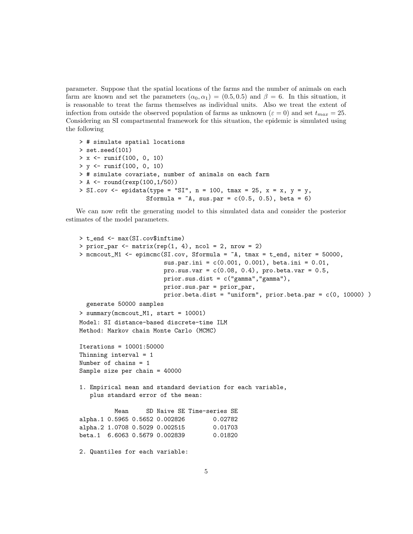parameter. Suppose that the spatial locations of the farms and the number of animals on each farm are known and set the parameters  $(\alpha_0, \alpha_1) = (0.5, 0.5)$  and  $\beta = 6$ . In this situation, it is reasonable to treat the farms themselves as individual units. Also we treat the extent of infection from outside the observed population of farms as unknown ( $\varepsilon = 0$ ) and set  $t_{max} = 25$ . Considering an SI compartmental framework for this situation, the epidemic is simulated using the following

```
> # simulate spatial locations
> set.seed(101)
> x <- runif(100, 0, 10)
> y <- runif(100, 0, 10)
> # simulate covariate, number of animals on each farm
> A <- round(rexp(100,1/50))
> SI.cov <- epidata(type = "SI", n = 100, tmax = 25, x = x, y = y,
                   Sformula = \inA, sus.par = c(0.5, 0.5), beta = 6)
```
We can now refit the generating model to this simulated data and consider the posterior estimates of the model parameters.

```
> t_end <- max(SI.cov$inftime)
> prior_par \leq matrix(rep(1, 4), ncol = 2, nrow = 2)
> mcmcout_M1 <- epimcmc(SI.cov, Sformula = \alphaA, tmax = t_end, niter = 50000,
                        sus.par.ini = c(0.001, 0.001), beta.ini = 0.01,
                        pro.sus.var = c(0.08, 0.4), pro.beta.var = 0.5,
                       prior.sus.dist = c("gamma","gamma"),
                       prior.sus.par = prior_par,
                       prior.beta.dist = "uniform", prior.beta.par = c(0, 10000) )
  generate 50000 samples
> summary(mcmcout_M1, start = 10001)
Model: SI distance-based discrete-time ILM
Method: Markov chain Monte Carlo (MCMC)
Iterations = 10001:50000
Thinning interval = 1
Number of chains = 1
Sample size per chain = 40000
1. Empirical mean and standard deviation for each variable,
   plus standard error of the mean:
          Mean SD Naive SE Time-series SE
alpha.1 0.5965 0.5652 0.002826 0.02782
alpha.2 1.0708 0.5029 0.002515 0.01703
beta.1 6.6063 0.5679 0.002839 0.01820
2. Quantiles for each variable:
```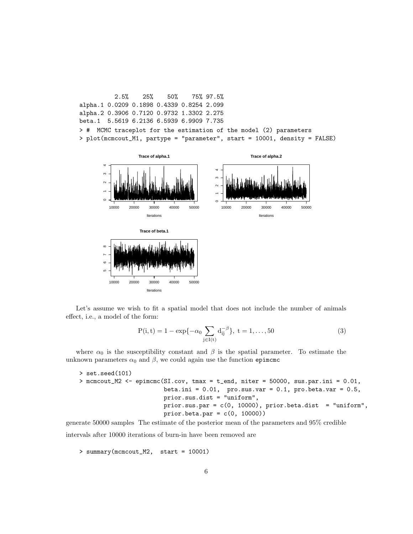2.5% 25% 50% 75% 97.5% alpha.1 0.0209 0.1898 0.4339 0.8254 2.099 alpha.2 0.3906 0.7120 0.9732 1.3302 2.275 beta.1 5.5619 6.2136 6.5939 6.9909 7.735 > # MCMC traceplot for the estimation of the model (2) parameters > plot(mcmcout\_M1, partype = "parameter", start = 10001, density = FALSE)



Let's assume we wish to fit a spatial model that does not include the number of animals effect, i.e., a model of the form:

$$
P(i, t) = 1 - \exp\{-\alpha_0 \sum_{j \in I(t)} d_{ij}^{-\beta}\}, \ t = 1, ..., 50
$$
 (3)

where  $\alpha_0$  is the susceptibility constant and  $\beta$  is the spatial parameter. To estimate the unknown parameters  $\alpha_0$  and  $\beta$ , we could again use the function epimcmc

> set.seed(101) > mcmcout\_M2 <- epimcmc(SI.cov, tmax = t\_end, niter = 50000, sus.par.ini = 0.01, beta.ini = 0.01, pro.sus.var = 0.1, pro.beta.var = 0.5, prior.sus.dist = "uniform", prior.sus.par = c(0, 10000), prior.beta.dist = "uniform", prior.beta.par = c(0, 10000))

generate 50000 samples The estimate of the posterior mean of the parameters and 95% credible intervals after 10000 iterations of burn-in have been removed are

> summary(mcmcout\_M2, start = 10001)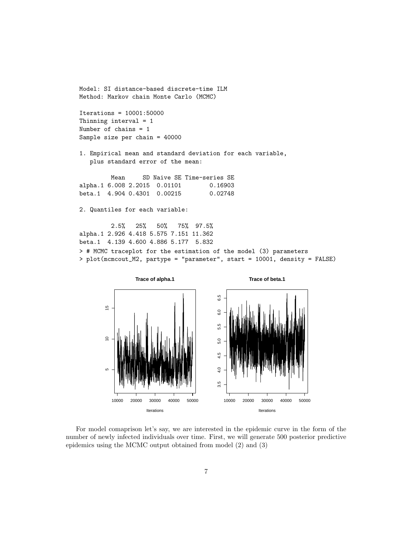Model: SI distance-based discrete-time ILM Method: Markov chain Monte Carlo (MCMC)

Iterations = 10001:50000 Thinning interval = 1 Number of chains = 1 Sample size per chain = 40000

1. Empirical mean and standard deviation for each variable, plus standard error of the mean:

Mean SD Naive SE Time-series SE alpha.1 6.008 2.2015 0.01101 0.16903 beta.1 4.904 0.4301 0.00215 0.02748

2. Quantiles for each variable:

2.5% 25% 50% 75% 97.5% alpha.1 2.926 4.418 5.575 7.151 11.362 beta.1 4.139 4.600 4.886 5.177 5.832 > # MCMC traceplot for the estimation of the model (3) parameters > plot(mcmcout\_M2, partype = "parameter", start = 10001, density = FALSE)



For model comaprison let's say, we are interested in the epidemic curve in the form of the number of newly infected individuals over time. First, we will generate 500 posterior predictive epidemics using the MCMC output obtained from model (2) and (3)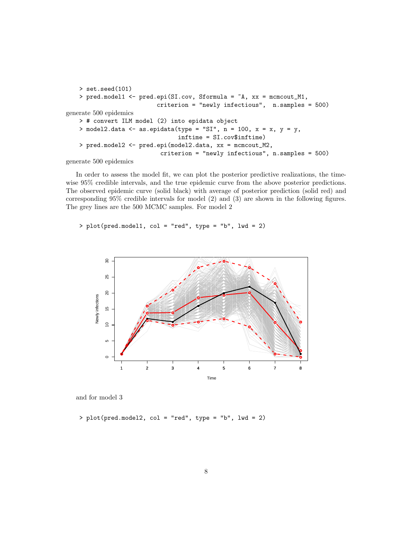```
> set.seed(101)
   > pred.model1 <- pred.epi(SI.cov, Sformula = ~A, xx = mcmcout_M1,
                          criterion = "newly infectious", n.samples = 500)
generate 500 epidemics
   > # convert ILM model (2) into epidata object
   > model2.data <- as.epidata(type = "SI", n = 100, x = x, y = y,
                                inftime = SI.cov$inftime)
   > pred.model2 <- pred.epi(model2.data, xx = mcmcout_M2,
                           criterion = "newly infectious", n.samples = 500)
```
generate 500 epidemics

In order to assess the model fit, we can plot the posterior predictive realizations, the timewise 95% credible intervals, and the true epidemic curve from the above posterior predictions. The observed epidemic curve (solid black) with average of posterior prediction (solid red) and corresponding 95% credible intervals for model (2) and (3) are shown in the following figures. The grey lines are the 500 MCMC samples. For model 2

> plot(pred.model1, col = "red", type = "b", lwd = 2)



and for model 3

 $> plot(pred.model2, col = "red", type = "b", lwd = 2)$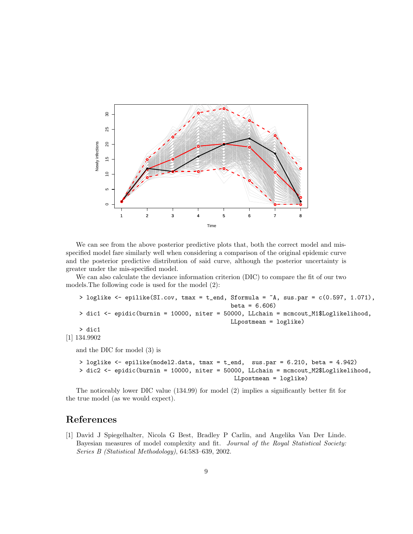

We can see from the above posterior predictive plots that, both the correct model and misspecified model fare similarly well when considering a comparison of the original epidemic curve and the posterior predictive distribution of said curve, although the posterior uncertainty is greater under the mis-specified model.

We can also calculate the deviance information criterion (DIC) to compare the fit of our two models.The following code is used for the model (2):

```
> loglike \le - epilike(SI.cov, tmax = t_end, Sformula = \inA, sus.par = c(0.597, 1.071),
                                                beta = 6.606> dic1 <- epidic(burnin = 10000, niter = 50000, LLchain = mcmcout_M1$Loglikelihood,
                                                LLpostmean = loglike)
   > dic1
[1] 134.9902
  and the DIC for model (3) is
   > loglike <- epilike(model2.data, tmax = t_end, sus.par = 6.210, beta = 4.942)
```
> dic2 <- epidic(burnin = 10000, niter = 50000, LLchain = mcmcout\_M2\$Loglikelihood,

LLpostmean = loglike) The noticeably lower DIC value (134.99) for model (2) implies a significantly better fit for

## References

the true model (as we would expect).

<span id="page-8-0"></span>[1] David J Spiegelhalter, Nicola G Best, Bradley P Carlin, and Angelika Van Der Linde. Bayesian measures of model complexity and fit. Journal of the Royal Statistical Society: Series B (Statistical Methodology), 64:583–639, 2002.